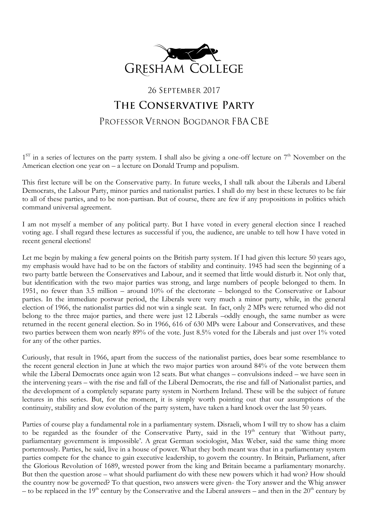

## 26 SEPTEMBER 2017 THE CONSERVATIVE PARTY PROFESSOR VERNON BOGDANOR FBA CBE

1<sup>ST</sup> in a series of lectures on the party system. I shall also be giving a one-off lecture on 7<sup>th</sup> November on the American election one year on  $-a$  lecture on Donald Trump and populism.

This first lecture will be on the Conservative party. In future weeks, I shall talk about the Liberals and Liberal Democrats, the Labour Party, minor parties and nationalist parties. I shall do my best in these lectures to be fair to all of these parties, and to be non-partisan. But of course, there are few if any propositions in politics which command universal agreement.

I am not myself a member of any political party. But I have voted in every general election since I reached voting age. I shall regard these lectures as successful if you, the audience, are unable to tell how I have voted in recent general elections!

Let me begin by making a few general points on the British party system. If I had given this lecture 50 years ago, my emphasis would have had to be on the factors of stability and continuity. 1945 had seen the beginning of a two party battle between the Conservatives and Labour, and it seemed that little would disturb it. Not only that, but identification with the two major parties was strong, and large numbers of people belonged to them. In 1951, no fewer than 3.5 million – around 10% of the electorate – belonged to the Conservative or Labour parties. In the immediate postwar period, the Liberals were very much a minor party, while, in the general election of 1966, the nationalist parties did not win a single seat. In fact, only 2 MPs were returned who did not belong to the three major parties, and there were just 12 Liberals –oddly enough, the same number as were returned in the recent general election. So in 1966, 616 of 630 MPs were Labour and Conservatives, and these two parties between them won nearly 89% of the vote. Just 8.5% voted for the Liberals and just over 1% voted for any of the other parties.

Curiously, that result in 1966, apart from the success of the nationalist parties, does bear some resemblance to the recent general election in June at which the two major parties won around 84% of the vote between them while the Liberal Democrats once again won 12 seats. But what changes – convulsions indeed – we have seen in the intervening years – with the rise and fall of the Liberal Democrats, the rise and fall of Nationalist parties, and the development of a completely separate party system in Northern Ireland. These will be the subject of future lectures in this series. But, for the moment, it is simply worth pointing out that our assumptions of the continuity, stability and slow evolution of the party system, have taken a hard knock over the last 50 years.

Parties of course play a fundamental role in a parliamentary system. Disraeli, whom I will try to show has a claim to be regarded as the founder of the Conservative Party, said in the 19<sup>th</sup> century that `Without party, parliamentary government is impossible'. A great German sociologist, Max Weber, said the same thing more portentously. Parties, he said, live in a house of power. What they both meant was that in a parliamentary system parties compete for the chance to gain executive leadership, to govern the country. In Britain, Parliament, after the Glorious Revolution of 1689, wrested power from the king and Britain became a parliamentary monarchy. But then the question arose – what should parliament do with these new powers which it had won? How should the country now be governed? To that question, two answers were given- the Tory answer and the Whig answer – to be replaced in the 19<sup>th</sup> century by the Conservative and the Liberal answers – and then in the  $20<sup>th</sup>$  century by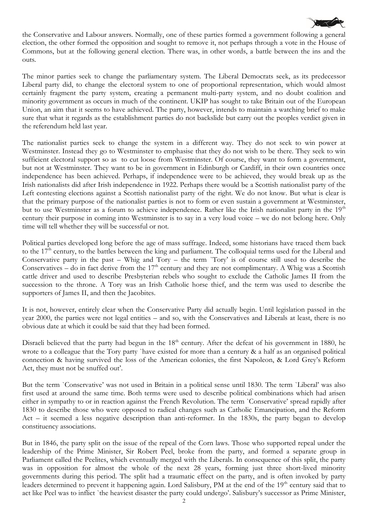

the Conservative and Labour answers. Normally, one of these parties formed a government following a general election, the other formed the opposition and sought to remove it, not perhaps through a vote in the House of Commons, but at the following general election. There was, in other words, a battle between the ins and the outs.

The minor parties seek to change the parliamentary system. The Liberal Democrats seek, as its predecessor Liberal party did, to change the electoral system to one of proportional representation, which would almost certainly fragment the party system, creating a permanent multi-party system, and no doubt coalition and minority government as occurs in much of the continent. UKIP has sought to take Britain out of the European Union, an aim that it seems to have achieved. The party, however, intends to maintain a watching brief to make sure that what it regards as the establishment parties do not backslide but carry out the peoples verdict given in the referendum held last year.

The nationalist parties seek to change the system in a different way. They do not seek to win power at Westminster. Instead they go to Westminster to emphasise that they do not wish to be there. They seek to win sufficient electoral support so as to cut loose from Westminster. Of course, they want to form a government, but not at Westminster. They want to be in government in Edinburgh or Cardiff, in their own countries once independence has been achieved. Perhaps, if independence were to be achieved, they would break up as the Irish nationalists did after Irish independence in 1922. Perhaps there would be a Scottish nationalist party of the Left contesting elections against a Scottish nationalist party of the right. We do not know. But what is clear is that the primary purpose of the nationalist parties is not to form or even sustain a government at Westminster, but to use Westminster as a forum to achieve independence. Rather like the Irish nationalist party in the 19<sup>th</sup> century their purpose in coming into Westminster is to say in a very loud voice – we do not belong here. Only time will tell whether they will be successful or not.

Political parties developed long before the age of mass suffrage. Indeed, some historians have traced them back to the  $17<sup>th</sup>$  century, to the battles between the king and parliament. The colloquial terms used for the Liberal and Conservative party in the past – Whig and Tory – the term `Tory' is of course still used to describe the Conservatives – do in fact derive from the  $17<sup>th</sup>$  century and they are not complimentary. A Whig was a Scottish cattle driver and used to describe Presbyterian rebels who sought to exclude the Catholic James II from the succession to the throne. A Tory was an Irish Catholic horse thief, and the term was used to describe the supporters of James II, and then the Jacobites.

It is not, however, entirely clear when the Conservative Party did actually begin. Until legislation passed in the year 2000, the parties were not legal entities – and so, with the Conservatives and Liberals at least, there is no obvious date at which it could be said that they had been formed.

Disraeli believed that the party had begun in the  $18<sup>th</sup>$  century. After the defeat of his government in 1880, he wrote to a colleague that the Tory party `have existed for more than a century & a half as an organised political connection & having survived the loss of the American colonies, the first Napoleon, & Lord Grey's Reform Act, they must not be snuffed out'.

But the term `Conservative' was not used in Britain in a political sense until 1830. The term `Liberal' was also first used at around the same time. Both terms were used to describe political combinations which had arisen either in sympathy to or in reaction against the French Revolution. The term `Conservative' spread rapidly after 1830 to describe those who were opposed to radical changes such as Catholic Emancipation, and the Reform Act – it seemed a less negative description than anti-reformer. In the 1830s, the party began to develop constituency associations.

But in 1846, the party split on the issue of the repeal of the Corn laws. Those who supported repeal under the leadership of the Prime Minister, Sir Robert Peel, broke from the party, and formed a separate group in Parliament called the Peelites, which eventually merged with the Liberals. In consequence of this split, the party was in opposition for almost the whole of the next 28 years, forming just three short-lived minority governments during this period. The split had a traumatic effect on the party, and is often invoked by party leaders determined to prevent it happening again. Lord Salisbury, PM at the end of the 19<sup>th</sup> century said that to act like Peel was to inflict `the heaviest disaster the party could undergo'. Salisbury's successor as Prime Minister,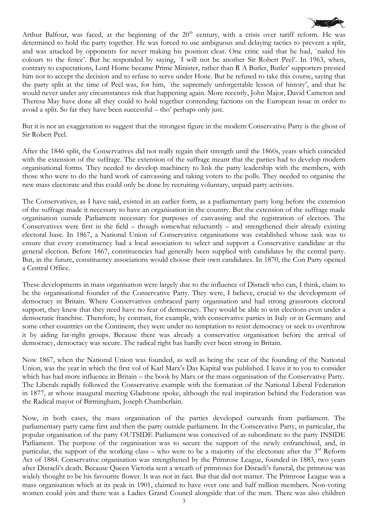

Arthur Balfour, was faced, at the beginning of the  $20<sup>th</sup>$  century, with a crisis over tariff reform. He was determined to hold the party together. He was forced to use ambiguous and delaying tactics to prevent a split, and was attacked by opponents for never making his position clear. One critic said that he had, `nailed his colours to the fence'. But he responded by saying, `I will not be another Sir Robert Peel'. In 1963, when, contrary to expectations, Lord Home became Prime Minister, rather than R A Butler, Butler' supporters pressed him not to accept the decision and to refuse to serve under Hone. But he refused to take this course, saying that the party split at the time of Peel was, for him, `the supremely unforgettable lesson of history', and that he would never under any circumstances risk that happening again. More recently, John Major, David Cameron and Theresa May have done all they could to hold together contending factions on the European issue in order to avoid a split. So far they have been successful – tho' perhaps only just.

But it is not an exaggeration to suggest that the strongest figure in the modern Conservative Party is the ghost of Sir Robert Peel.

After the 1846 split, the Conservatives did not really regain their strength until the 1860s, years which coincided with the extension of the suffrage. The extension of the suffrage meant that the parties had to develop modern organisational forms. They needed to develop machinery to link the party leadership with the members, with those who were to do the hard work of canvassing and taking voters to the polls. They needed to organise the new mass electorate and this could only be done by recruiting voluntary, unpaid party activists.

The Conservatives, as I have said, existed in an earlier form, as a parliamentary party long before the extension of the suffrage made it necessary to have an organisation in the country. But the extension of the suffrage made organisation outside Parliament necessary for purposes of canvassing and the registration of electors. The Conservatives were first in the field – though somewhat reluctantly – and strengthened their already existing electoral base. In 1867, a National Union of Conservative organisations was established whose task was to ensure that every constituency had a local association to select and support a Conservative candidate at the general election. Before 1867, constituencies had generally been supplied with candidates by the central party. But, in the future, constituency associations would choose their own candidates. In 1870, the Con Party opened a Central Office.

These developments in mass organisation were largely due to the influence of Disraeli who can, I think, claim to be the organisational founder of the Conservative Party. They were, I believe, crucial to the development of democracy in Britain. Where Conservatives embraced party organisation and had strong grassroots electoral support, they knew that they need have no fear of democracy. They would be able to win elections even under a democratic franchise. Therefore, by contrast, for example, with conservative parties in Italy or in Germany and some other countries on the Continent, they were under no temptation to resist democracy or seek to overthrow it by aiding far-right groups. Because there was already a conservative organisation before the arrival of democracy, democracy was secure. The radical right has hardly ever been strong in Britain.

Now 1867, when the National Union was founded, as well as being the year of the founding of the National Union, was the year in which the first vol of Karl Marx's Das Kapital was published. I leave it to you to consider which has had more influence in Britain – the book by Marx or the mass organisation of the Conservative Party. The Liberals rapidly followed the Conservative example with the formation of the National Liberal Federation in 1877, at whose inaugural meeting Gladstone spoke, although the real inspiration behind the Federation was the Radical mayor of Birmingham, Joseph Chamberlain.

Now, in both cases, the mass organisation of the parties developed outwards from parliament. The parliamentary party came first and then the party outside parliament. In the Conservative Party, in particular, the popular organisation of the party OUTSIDE Parliament was conceived of as subordinate to the party INSIDE Parliament. The purpose of the organisation was to secure the support of the newly enfranchised, and, in particular, the support of the working class – who were to be a majority of the electorate after the  $3<sup>rd</sup>$  Reform Act of 1884. Conservative organisation was strengthened by the Primrose League, founded in 1883, two years after Disraeli's death. Because Queen Victoria sent a wreath of primroses for Disraeli's funeral, the primrose was widely thought to be his favourite flower. It was not in fact. But that did not matter. The Primrose League was a mass organisation which at its peak in 1901, claimed to have over one and half million members. Non-voting women could join and there was a Ladies Grand Council alongside that of the men. There was also children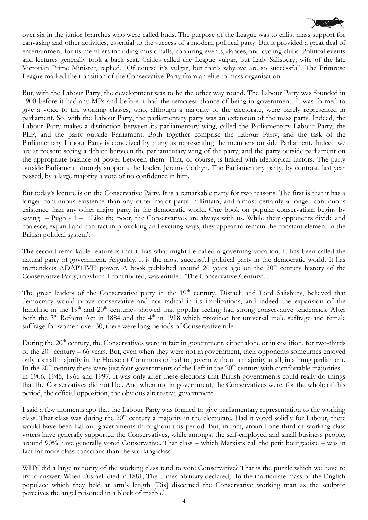

over six in the junior branches who were called buds. The purpose of the League was to enlist mass support for canvasing and other activities, essential to the success of a modern political party. But it provided a great deal of entertainment for its members including music halls, conjuring events, dances, and cycling clubs. Political events and lectures generally took a back seat. Critics called the League vulgar, but Lady Salisbury, wife of the late Victorian Prime Minister, replied, `Of course it's vulgar, but that's why we are so successful'. The Primrose League marked the transition of the Conservative Party from an elite to mass organisation.

But, with the Labour Party, the development was to be the other way round. The Labour Party was founded in 1900 before it had any MPs and before it had the remotest chance of being in government. It was formed to give a voice to the working classes, who, although a majority of the electorate, were barely represented in parliament. So, with the Labour Party, the parliamentary party was an extension of the mass party. Indeed, the Labour Party makes a distinction between its parliamentary wing, called the Parliamentary Labour Party, the PLP, and the party outside Parliament. Both together comprise the Labour Party, and the task of the Parliamentary Labour Party is conceived by many as representing the members outside Parliament. Indeed we are at present seeing a debate between the parliamentary wing of the party, and the party outside parliament on the appropriate balance of power between them. That, of course, is linked with ideological factors. The party outside Parliament strongly supports the leader, Jeremy Corbyn. The Parliamentary party, by contrast, last year passed, by a large majority a vote of no confidence in him.

But today's lecture is on the Conservative Party. It is a remarkable party for two reasons. The first is that it has a longer continuous existence than any other major party in Britain, and almost certainly a longer continuous existence than any other major party in the democratic world. One book on popular conservatism begins by saying – Pugh - 1 – `Like the poor, the Conservatives are always with us. While their opponents divide and coalesce, expand and contract in provoking and exciting ways, they appear to remain the constant element in the British political system'.

The second remarkable feature is that it has what might be called a governing vocation. It has been called the natural party of government. Arguably, it is the most successful political party in the democratic world. It has tremendous ADAPTIVE power. A book published around 20 years ago on the  $20<sup>th</sup>$  century history of the Conservative Party, to which I contributed, was entitled `The Conservative Century'. .

The great leaders of the Conservative party in the 19<sup>th</sup> century, Disraeli and Lord Salisbury, believed that democracy would prove conservative and not radical in its implications; and indeed the expansion of the franchise in the  $19<sup>th</sup>$  and  $20<sup>th</sup>$  centuries showed that popular feeling had strong conservative tendencies. After both the  $3<sup>rd</sup>$  Reform Act in 1884 and the  $4<sup>th</sup>$  in 1918 which provided for universal male suffrage and female suffrage for women over 30, there were long periods of Conservative rule.

During the 20<sup>th</sup> century, the Conservatives were in fact in government, either alone or in coalition, for two-thirds of the  $20<sup>th</sup>$  century – 66 years. But, even when they were not in government, their opponents sometimes enjoyed only a small majority in the House of Commons or had to govern without a majority at all, in a hung parliament. In the  $20<sup>th</sup>$  century there were just four governments of the Left in the  $20<sup>th</sup>$  century with comfortable majorities – in 1906, 1945, 1966 and 1997. It was only after these elections that British governments could really do things that the Conservatives did not like. And when not in government, the Conservatives were, for the whole of this period, the official opposition, the obvious alternative government.

I said a few moments ago that the Labour Party was formed to give parliamentary representation to the working class. That class was during the 20<sup>th</sup> century a majority in the electorate. Had it voted solidly for Labour, there would have been Labour governments throughout this period. But, in fact, around one-third of working-class voters have generally supported the Conservatives, while amongst the self-employed and small business people, around 90% have generally voted Conservative. That class – which Marxists call the petit bourgeoisie – was in fact far more class conscious than the working class.

WHY did a large minority of the working class tend to vote Conservative? That is the puzzle which we have to try to answer. When Disraeli died in 1881, The Times obituary declared, `In the inarticulate mass of the English populace which they held at arm's length [Dis] discerned the Conservative working man as the sculptor perceives the angel prisoned in a block of marble'.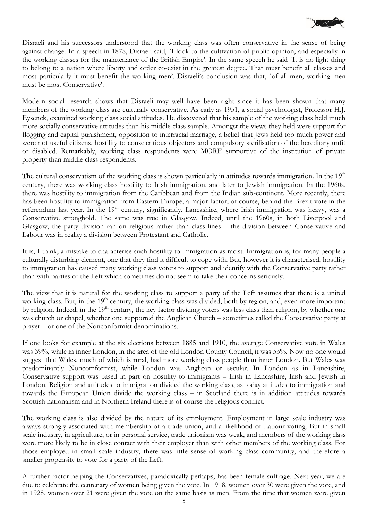

Disraeli and his successors understood that the working class was often conservative in the sense of being against change. In a speech in 1878, Disraeli said, `I look to the cultivation of public opinion, and especially in the working classes for the maintenance of the British Empire'. In the same speech he said `It is no light thing to belong to a nation where liberty and order co-exist in the greatest degree. That must benefit all classes and most particularly it must benefit the working men'. Disraeli's conclusion was that, `of all men, working men must be most Conservative'.

Modern social research shows that Disraeli may well have been right since it has been shown that many members of the working class are culturally conservative. As early as 1951, a social psychologist, Professor H.J. Eysenck, examined working class social attitudes. He discovered that his sample of the working class held much more socially conservative attitudes than his middle class sample. Amongst the views they held were support for flogging and capital punishment, opposition to interracial marriage, a belief that Jews held too much power and were not useful citizens, hostility to conscientious objectors and compulsory sterilisation of the hereditary unfit or disabled. Remarkably, working class respondents were MORE supportive of the institution of private property than middle class respondents.

The cultural conservatism of the working class is shown particularly in attitudes towards immigration. In the  $19<sup>th</sup>$ century, there was working class hostility to Irish immigration, and later to Jewish immigration. In the 1960s, there was hostility to immigration from the Caribbean and from the Indian sub-continent. More recently, there has been hostility to immigration from Eastern Europe, a major factor, of course, behind the Brexit vote in the referendum last year. In the 19<sup>th</sup> century, significantly, Lancashire, where Irish immigration was heavy, was a Conservative stronghold. The same was true in Glasgow. Indeed, until the 1960s, in both Liverpool and Glasgow, the party division ran on religious rather than class lines – the division between Conservative and Labour was in reality a division between Protestant and Catholic.

It is, I think, a mistake to characterise such hostility to immigration as racist. Immigration is, for many people a culturally disturbing element, one that they find it difficult to cope with. But, however it is characterised, hostility to immigration has caused many working class voters to support and identify with the Conservative party rather than with parties of the Left which sometimes do not seem to take their concerns seriously.

The view that it is natural for the working class to support a party of the Left assumes that there is a united working class. But, in the 19<sup>th</sup> century, the working class was divided, both by region, and, even more important by religion. Indeed, in the 19<sup>th</sup> century, the key factor dividing voters was less class than religion, by whether one was church or chapel, whether one supported the Anglican Church – sometimes called the Conservative party at prayer – or one of the Nonconformist denominations.

If one looks for example at the six elections between 1885 and 1910, the average Conservative vote in Wales was 39%, while in inner London, in the area of the old London County Council, it was 53%. Now no one would suggest that Wales, much of which is rural, had more working class people than inner London. But Wales was predominantly Noncomformist, while London was Anglican or secular. In London as in Lancashire, Conservative support was based in part on hostility to immigrants – Irish in Lancashire, Irish and Jewish in London. Religion and attitudes to immigration divided the working class, as today attitudes to immigration and towards the European Union divide the working class – in Scotland there is in addition attitudes towards Scottish nationalism and in Northern Ireland there is of course the religious conflict.

The working class is also divided by the nature of its employment. Employment in large scale industry was always strongly associated with membership of a trade union, and a likelihood of Labour voting. But in small scale industry, in agriculture, or in personal service, trade unionism was weak, and members of the working class were more likely to be in close contact with their employer than with other members of the working class. For those employed in small scale industry, there was little sense of working class community, and therefore a smaller propensity to vote for a party of the Left.

A further factor helping the Conservatives, paradoxically perhaps, has been female suffrage. Next year, we are due to celebrate the centenary of women being given the vote. In 1918, women over 30 were given the vote, and in 1928, women over 21 were given the vote on the same basis as men. From the time that women were given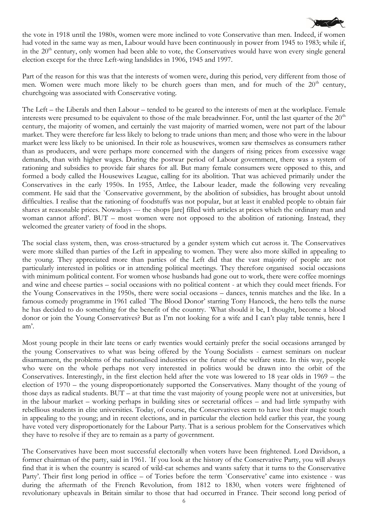

the vote in 1918 until the 1980s, women were more inclined to vote Conservative than men. Indeed, if women had voted in the same way as men, Labour would have been continuously in power from 1945 to 1983; while if, in the  $20<sup>th</sup>$  century, only women had been able to vote, the Conservatives would have won every single general election except for the three Left-wing landslides in 1906, 1945 and 1997.

Part of the reason for this was that the interests of women were, during this period, very different from those of men. Women were much more likely to be church goers than men, and for much of the  $20<sup>th</sup>$  century, churchgoing was associated with Conservative voting.

The Left – the Liberals and then Labour – tended to be geared to the interests of men at the workplace. Female interests were presumed to be equivalent to those of the male breadwinner. For, until the last quarter of the 20<sup>th</sup> century, the majority of women, and certainly the vast majority of married women, were not part of the labour market. They were therefore far less likely to belong to trade unions than men; and those who were in the labour market were less likely to be unionised. In their role as housewives, women saw themselves as consumers rather than as producers, and were perhaps more concerned with the dangers of rising prices from excessive wage demands, than with higher wages. During the postwar period of Labour government, there was a system of rationing and subsidies to provide fair shares for all. But many female consumers were opposed to this, and formed a body called the Housewives League, calling for its abolition. That was achieved primarily under the Conservatives in the early 1950s. In 1955, Attlee, the Labour leader, made the following very revealing comment. He said that the `Conservative government, by the abolition of subsidies, has brought about untold difficulties. I realise that the rationing of foodstuffs was not popular, but at least it enabled people to obtain fair shares at reasonable prices. Nowadays --- the shops [are] filled with articles at prices which the ordinary man and woman cannot afford'. BUT – most women were not opposed to the abolition of rationing. Instead, they welcomed the greater variety of food in the shops.

The social class system, then, was cross-structured by a gender system which cut across it. The Conservatives were more skilled than parties of the Left in appealing to women. They were also more skilled in appealing to the young. They appreciated more than parties of the Left did that the vast majority of people are not particularly interested in politics or in attending political meetings. They therefore organised social occasions with minimum political content. For women whose husbands had gone out to work, there were coffee mornings and wine and cheese parties – social occasions with no political content - at which they could meet friends. For the Young Conservatives in the 1950s, there were social occasions – dances, tennis matches and the like. In a famous comedy programme in 1961 called 'The Blood Donor' starring Tony Hancock, the hero tells the nurse he has decided to do something for the benefit of the country. `What should it be, I thought, become a blood donor or join the Young Conservatives? But as I'm not looking for a wife and I can't play table tennis, here I am'.

Most young people in their late teens or early twenties would certainly prefer the social occasions arranged by the young Conservatives to what was being offered by the Young Socialists - earnest seminars on nuclear disarmament, the problems of the nationalised industries or the future of the welfare state. In this way, people who were on the whole perhaps not very interested in politics would be drawn into the orbit of the Conservatives. Interestingly, in the first election held after the vote was lowered to 18 year olds in 1969 – the election of 1970 – the young disproportionately supported the Conservatives. Many thought of the young of those days as radical students. BUT – at that time the vast majority of young people were not at universities, but in the labour market – working perhaps in building sites or secretarial offices – and had little sympathy with rebellious students in elite universities. Today, of course, the Conservatives seem to have lost their magic touch in appealing to the young; and in recent elections, and in particular the election held earlier this year, the young have voted very disproportionately for the Labour Party. That is a serious problem for the Conservatives which they have to resolve if they are to remain as a party of government.

The Conservatives have been most successful electorally when voters have been frightened. Lord Davidson, a former chairman of the party, said in 1961. `If you look at the history of the Conservative Party, you will always find that it is when the country is scared of wild-cat schemes and wants safety that it turns to the Conservative Party'. Their first long period in office – of Tories before the term `Conservative' came into existence - was during the aftermath of the French Revolution, from 1812 to 1830, when voters were frightened of revolutionary upheavals in Britain similar to those that had occurred in France. Their second long period of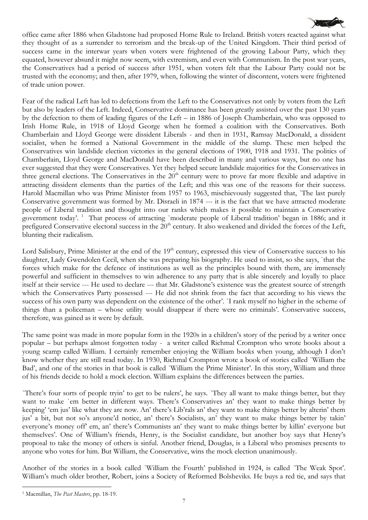

office came after 1886 when Gladstone had proposed Home Rule to Ireland. British voters reacted against what they thought of as a surrender to terrorism and the break-up of the United Kingdom. Their third period of success came in the interwar years when voters were frightened of the growing Labour Party, which they equated, however absurd it might now seem, with extremism, and even with Communism. In the post war years, the Conservatives had a period of success after 1951, when voters felt that the Labour Party could not be trusted with the economy; and then, after 1979, when, following the winter of discontent, voters were frightened of trade union power.

Fear of the radical Left has led to defections from the Left to the Conservatives not only by voters from the Left but also by leaders of the Left. Indeed, Conservative dominance has been greatly assisted over the past 130 years by the defection to them of leading figures of the Left – in 1886 of Joseph Chamberlain, who was opposed to Irish Home Rule, in 1918 of Lloyd George when he formed a coalition with the Conservatives. Both Chamberlain and Lloyd George were dissident Liberals - and then in 1931, Ramsay MacDonald, a dissident socialist, when he formed a National Government in the middle of the slump. These men helped the Conservatives win landslide election victories in the general elections of 1900, 1918 and 1931. The politics of Chamberlain, Lloyd George and MacDonald have been described in many and various ways, but no one has ever suggested that they were Conservatives. Yet they helped secure landslide majorities for the Conservatives in three general elections. The Conservatives in the  $20<sup>th</sup>$  century were to prove far more flexible and adaptive in attracting dissident elements than the parties of the Left; and this was one of the reasons for their success. Harold Macmillan who was Prime Minister from 1957 to 1963, mischievously suggested that, `The last purely Conservative government was formed by Mr. Disraeli in 1874 --- it is the fact that we have attracted moderate people of Liberal tradition and thought into our ranks which makes it possible to maintain a Conservative government today'.<sup>1</sup> That process of attracting `moderate people of Liberal tradition' began in 1886; and it prefigured Conservative electoral success in the  $20<sup>th</sup>$  century. It also weakened and divided the forces of the Left, blunting their radicalism.

Lord Salisbury, Prime Minister at the end of the 19<sup>th</sup> century, expressed this view of Conservative success to his daughter, Lady Gwendolen Cecil, when she was preparing his biography. He used to insist, so she says, `that the forces which make for the defence of institutions as well as the principles bound with them, are immensely powerful and sufficient in themselves to win adherence to any party that is able sincerely and loyally to place itself at their service --- He used to declare --- that Mr. Gladstone's existence was the greatest source of strength which the Conservatives Party possessed --- He did not shrink from the fact that according to his views the success of his own party was dependent on the existence of the other'. `I rank myself no higher in the scheme of things than a policeman – whose utility would disappear if there were no criminals'. Conservative success, therefore, was gained as it were by default.

The same point was made in more popular form in the 1920s in a children's story of the period by a writer once popular – but perhaps almost forgotten today - a writer called Richmal Crompton who wrote books about a young scamp called William. I certainly remember enjoying the William books when young, although I don't know whether they are still read today. In 1930, Richmal Crompton wrote a book of stories called `William the Bad', and one of the stories in that book is called `William the Prime Minister'. In this story, William and three of his friends decide to hold a mock election. William explains the differences between the parties.

`There's four sorts of people tryin' to get to be rulers', he says. `They all want to make things better, but they want to make `em better in different ways. There's Conservatives an' they want to make things better by keeping' 'em jus' like what they are now. An' there's Lib'rals an' they want to make things better by alterin' them jus' a bit, but not so's anyone'd notice, an' there's Socialists, an' they want to make things better by takin' everyone's money off' em, an' there's Communists an' they want to make things better by killin' everyone but themselves'. One of William's friends, Henry, is the Socialist candidate, but another boy says that Henry's proposal to take the money of others is sinful. Another friend, Douglas, is a Liberal who promises presents to anyone who votes for him. But William, the Conservative, wins the mock election unanimously.

Another of the stories in a book called `William the Fourth' published in 1924, is called `The Weak Spot'. William's much older brother, Robert, joins a Society of Reformed Bolsheviks. He buys a red tie, and says that

1

<sup>1</sup> Macmillan, *The Past Masters*, pp. 18-19.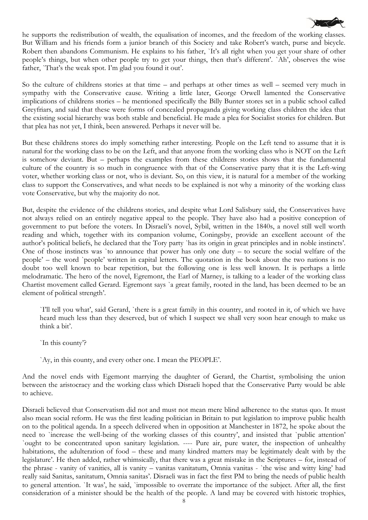

So the culture of childrens stories at that time – and perhaps at other times as well – seemed very much in sympathy with the Conservative cause. Writing a little later, George Orwell lamented the Conservative implications of childrens stories – he mentioned specifically the Billy Bunter stores set in a public school called Greyfriars, and said that these were forms of concealed propaganda giving working class children the idea that the existing social hierarchy was both stable and beneficial. He made a plea for Socialist stories for children. But that plea has not yet, I think, been answered. Perhaps it never will be.

But these childrens stores do imply something rather interesting. People on the Left tend to assume that it is natural for the working class to be on the Left, and that anyone from the working class who is NOT on the Left is somehow deviant. But – perhaps the examples from these childrens stories shows that the fundamental culture of the country is so much in congruence with that of the Conservative party that it is the Left-wing voter, whether working class or not, who is deviant. So, on this view, it is natural for a member of the working class to support the Conservatives, and what needs to be explained is not why a minority of the working class vote Conservative, but why the majority do not.

But, despite the evidence of the childrens stories, and despite what Lord Salisbury said, the Conservatives have not always relied on an entirely negative appeal to the people. They have also had a positive conception of government to put before the voters. In Disraeli's novel, Sybil, written in the 1840s, a novel still well worth reading and which, together with its companion volume, Coningsby, provide an excellent account of the author's political beliefs, he declared that the Tory party `has its origin in great principles and in noble instincts'. One of those instincts was `to announce that power has only one duty – to secure the social welfare of the people' – the word `people' written in capital letters. The quotation in the book about the two nations is no doubt too well known to bear repetition, but the following one is less well known. It is perhaps a little melodramatic. The hero of the novel, Egremont, the Earl of Marney, is talking to a leader of the working class Chartist movement called Gerard. Egremont says `a great family, rooted in the land, has been deemed to be an element of political strength'.

`I'll tell you what', said Gerard, `there is a great family in this country, and rooted in it, of which we have heard much less than they deserved, but of which I suspect we shall very soon hear enough to make us think a bit'.

`In this county'?

`Ay, in this county, and every other one. I mean the PEOPLE'.

And the novel ends with Egemont marrying the daughter of Gerard, the Chartist, symbolising the union between the aristocracy and the working class which Disraeli hoped that the Conservative Party would be able to achieve.

Disraeli believed that Conservatism did not and must not mean mere blind adherence to the status quo. It must also mean social reform. He was the first leading politician in Britain to put legislation to improve public health on to the political agenda. In a speech delivered when in opposition at Manchester in 1872, he spoke about the need to `increase the well-being of the working classes of this country', and insisted that `public attention' `ought to be concentrated upon sanitary legislation. ---- Pure air, pure water, the inspection of unhealthy habitations, the adulteration of food – these and many kindred matters may be legitimately dealt with by the legislature'. He then added, rather whimsically, that there was a great mistake in the Scriptures – for, instead of the phrase - vanity of vanities, all is vanity – vanitas vanitatum, Omnia vanitas - `the wise and witty king' had really said Sanitas, sanitatum, Omnia sanitas'. Disraeli was in fact the first PM to bring the needs of public health to general attention. `It was', he said, `impossible to overrate the importance of the subject. After all, the first consideration of a minister should be the health of the people. A land may be covered with historic trophies,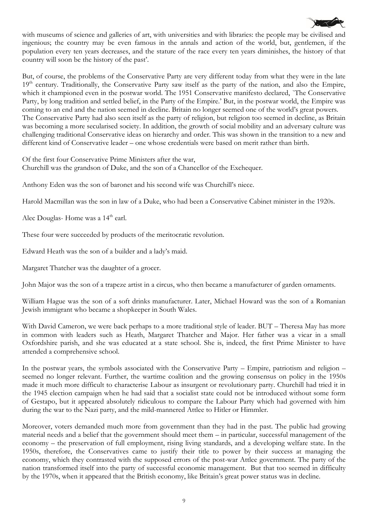

with museums of science and galleries of art, with universities and with libraries: the people may be civilised and ingenious; the country may be even famous in the annals and action of the world, but, gentlemen, if the population every ten years decreases, and the stature of the race every ten years diminishes, the history of that country will soon be the history of the past'.

But, of course, the problems of the Conservative Party are very different today from what they were in the late  $19<sup>th</sup>$  century. Traditionally, the Conservative Party saw itself as the party of the nation, and also the Empire, which it championed even in the postwar world. The 1951 Conservative manifesto declared, 'The Conservative Party, by long tradition and settled belief, in the Party of the Empire.' But, in the postwar world, the Empire was coming to an end and the nation seemed in decline. Britain no longer seemed one of the world's great powers. The Conservative Party had also seen itself as the party of religion, but religion too seemed in decline, as Britain was becoming a more secularised society. In addition, the growth of social mobility and an adversary culture was challenging traditional Conservative ideas on hierarchy and order. This was shown in the transition to a new and different kind of Conservative leader – one whose credentials were based on merit rather than birth.

Of the first four Conservative Prime Ministers after the war, Churchill was the grandson of Duke, and the son of a Chancellor of the Exchequer.

Anthony Eden was the son of baronet and his second wife was Churchill's niece.

Harold Macmillan was the son in law of a Duke, who had been a Conservative Cabinet minister in the 1920s.

Alec Douglas- Home was a 14<sup>th</sup> earl.

These four were succeeded by products of the meritocratic revolution.

Edward Heath was the son of a builder and a lady's maid.

Margaret Thatcher was the daughter of a grocer.

John Major was the son of a trapeze artist in a circus, who then became a manufacturer of garden ornaments.

William Hague was the son of a soft drinks manufacturer. Later, Michael Howard was the son of a Romanian Jewish immigrant who became a shopkeeper in South Wales.

With David Cameron, we were back perhaps to a more traditional style of leader. BUT – Theresa May has more in common with leaders such as Heath, Margaret Thatcher and Major. Her father was a vicar in a small Oxfordshire parish, and she was educated at a state school. She is, indeed, the first Prime Minister to have attended a comprehensive school.

In the postwar years, the symbols associated with the Conservative Party – Empire, patriotism and religion – seemed no longer relevant. Further, the wartime coalition and the growing consensus on policy in the 1950s made it much more difficult to characterise Labour as insurgent or revolutionary party. Churchill had tried it in the 1945 election campaign when he had said that a socialist state could not be introduced without some form of Gestapo, but it appeared absolutely ridiculous to compare the Labour Party which had governed with him during the war to the Nazi party, and the mild-mannered Attlee to Hitler or Himmler.

Moreover, voters demanded much more from government than they had in the past. The public had growing material needs and a belief that the government should meet them – in particular, successful management of the economy – the preservation of full employment, rising living standards, and a developing welfare state. In the 1950s, therefore, the Conservatives came to justify their title to power by their success at managing the economy, which they contrasted with the supposed errors of the post-war Attlee government. The party of the nation transformed itself into the party of successful economic management. But that too seemed in difficulty by the 1970s, when it appeared that the British economy, like Britain's great power status was in decline.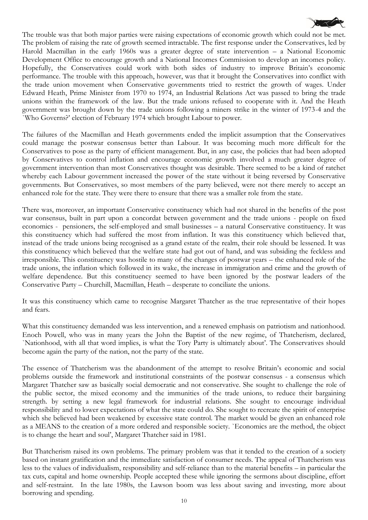

The trouble was that both major parties were raising expectations of economic growth which could not be met. The problem of raising the rate of growth seemed intractable. The first response under the Conservatives, led by Harold Macmillan in the early 1960s was a greater degree of state intervention – a National Economic Development Office to encourage growth and a National Incomes Commission to develop an incomes policy. Hopefully, the Conservatives could work with both sides of industry to improve Britain's economic performance. The trouble with this approach, however, was that it brought the Conservatives into conflict with the trade union movement when Conservative governments tried to restrict the growth of wages. Under Edward Heath, Prime Minister from 1970 to 1974, an Industrial Relations Act was passed to bring the trade unions within the framework of the law. But the trade unions refused to cooperate with it. And the Heath government was brought down by the trade unions following a miners strike in the winter of 1973-4 and the `Who Governs?' election of February 1974 which brought Labour to power.

The failures of the Macmillan and Heath governments ended the implicit assumption that the Conservatives could manage the postwar consensus better than Labour. It was becoming much more difficult for the Conservatives to pose as the party of efficient management. But, in any case, the policies that had been adopted by Conservatives to control inflation and encourage economic growth involved a much greater degree of government intervention than most Conservatives thought was desirable. There seemed to be a kind of ratchet whereby each Labour government increased the power of the state without it being reversed by Conservative governments. But Conservatives, so most members of the party believed, were not there merely to accept an enhanced role for the state. They were there to ensure that there was a smaller role from the state.

There was, moreover, an important Conservative constituency which had not shared in the benefits of the post war consensus, built in part upon a concordat between government and the trade unions - people on fixed economics - pensioners, the self-employed and small businesses – a natural Conservative constituency. It was this constituency which had suffered the most from inflation. It was this constituency which believed that, instead of the trade unions being recognised as a grand estate of the realm, their role should be lessened. It was this constituency which believed that the welfare state had got out of hand, and was subsiding the feckless and irresponsible. This constituency was hostile to many of the changes of postwar years – the enhanced role of the trade unions, the inflation which followed in its wake, the increase in immigration and crime and the growth of welfare dependence. But this constituency seemed to have been ignored by the postwar leaders of the Conservative Party – Churchill, Macmillan, Heath – desperate to conciliate the unions.

It was this constituency which came to recognise Margaret Thatcher as the true representative of their hopes and fears.

What this constituency demanded was less intervention, and a renewed emphasis on patriotism and nationhood. Enoch Powell, who was in many years the John the Baptist of the new regime, of Thatcherism, declared, `Nationhood, with all that word implies, is what the Tory Party is ultimately about'. The Conservatives should become again the party of the nation, not the party of the state.

The essence of Thatcherism was the abandonment of the attempt to resolve Britain's economic and social problems outside the framework and institutional constraints of the postwar consensus - a consensus which Margaret Thatcher saw as basically social democratic and not conservative. She sought to challenge the role of the public sector, the mixed economy and the immunities of the trade unions, to reduce their bargaining strength. by setting a new legal framework for industrial relations. She sought to encourage individual responsibility and to lower expectations of what the state could do. She sought to recreate the spirit of enterprise which she believed had been weakened by excessive state control. The market would be given an enhanced role as a MEANS to the creation of a more ordered and responsible society. `Economics are the method, the object is to change the heart and soul', Margaret Thatcher said in 1981.

But Thatcherism raised its own problems. The primary problem was that it tended to the creation of a society based on instant gratification and the immediate satisfaction of consumer needs. The appeal of Thatcherism was less to the values of individualism, responsibility and self-reliance than to the material benefits – in particular the tax cuts, capital and home ownership. People accepted these while ignoring the sermons about discipline, effort and self-restraint. In the late 1980s, the Lawson boom was less about saving and investing, more about borrowing and spending.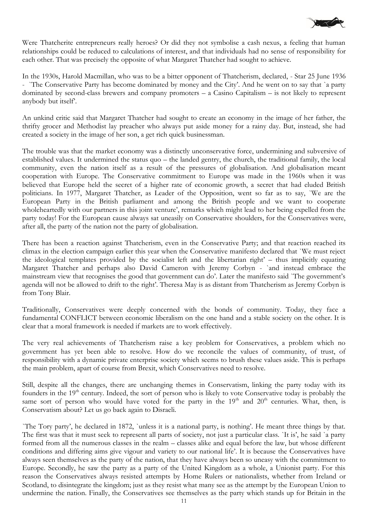

Were Thatcherite entrepreneurs really heroes? Or did they not symbolise a cash nexus, a feeling that human relationships could be reduced to calculations of interest, and that individuals had no sense of responsibility for each other. That was precisely the opposite of what Margaret Thatcher had sought to achieve.

In the 1930s, Harold Macmillan, who was to be a bitter opponent of Thatcherism, declared, - Star 25 June 1936 - `The Conservative Party has become dominated by money and the City'. And he went on to say that `a party dominated by second-class brewers and company promoters – a Casino Capitalism – is not likely to represent anybody but itself'.

An unkind critic said that Margaret Thatcher had sought to create an economy in the image of her father, the thrifty grocer and Methodist lay preacher who always put aside money for a rainy day. But, instead, she had created a society in the image of her son, a get rich quick businessman.

The trouble was that the market economy was a distinctly unconservative force, undermining and subversive of established values. It undermined the status quo – the landed gentry, the church, the traditional family, the local community, even the nation itself as a result of the pressures of globalisation. And globalisation meant cooperation with Europe. The Conservative commitment to Europe was made in the 1960s when it was believed that Europe held the secret of a higher rate of economic growth, a secret that had eluded British politicians. In 1977, Margaret Thatcher, as Leader of the Opposition, went so far as to say, `We are the European Party in the British parliament and among the British people and we want to cooperate wholeheartedly with our partners in this joint venture', remarks which might lead to her being expelled from the party today! For the European cause always sat uneasily on Conservative shoulders, for the Conservatives were, after all, the party of the nation not the party of globalisation.

There has been a reaction against Thatcherism, even in the Conservative Party; and that reaction reached its climax in the election campaign earlier this year when the Conservative manifesto declared that `We must reject the ideological templates provided by the socialist left and the libertarian right' – thus implicitly equating Margaret Thatcher and perhaps also David Cameron with Jeremy Corbyn - `and instead embrace the mainstream view that recognises the good that government can do'. Later the manifesto said `The government's agenda will not be allowed to drift to the right'. Theresa May is as distant from Thatcherism as Jeremy Corbyn is from Tony Blair.

Traditionally, Conservatives were deeply concerned with the bonds of community. Today, they face a fundamental CONFLICT between economic liberalism on the one hand and a stable society on the other. It is clear that a moral framework is needed if markets are to work effectively.

The very real achievements of Thatcherism raise a key problem for Conservatives, a problem which no government has yet been able to resolve. How do we reconcile the values of community, of trust, of responsibility with a dynamic private enterprise society which seems to brush these values aside. This is perhaps the main problem, apart of course from Brexit, which Conservatives need to resolve.

Still, despite all the changes, there are unchanging themes in Conservatism, linking the party today with its founders in the 19<sup>th</sup> century. Indeed, the sort of person who is likely to vote Conservative today is probably the same sort of person who would have voted for the party in the  $19<sup>th</sup>$  and  $20<sup>th</sup>$  centuries. What, then, is Conservatism about? Let us go back again to Disraeli.

`The Tory party', he declared in 1872, `unless it is a national party, is nothing'. He meant three things by that. The first was that it must seek to represent all parts of society, not just a particular class. `It is', he said `a party formed from all the numerous classes in the realm – classes alike and equal before the law, but whose different conditions and differing aims give vigour and variety to our national life'. It is because the Conservatives have always seen themselves as the party of the nation, that they have always been so uneasy with the commitment to Europe. Secondly, he saw the party as a party of the United Kingdom as a whole, a Unionist party. For this reason the Conservatives always resisted attempts by Home Rulers or nationalists, whether from Ireland or Scotland, to disintegrate the kingdom; just as they resist what many see as the attempt by the European Union to undermine the nation. Finally, the Conservatives see themselves as the party which stands up for Britain in the